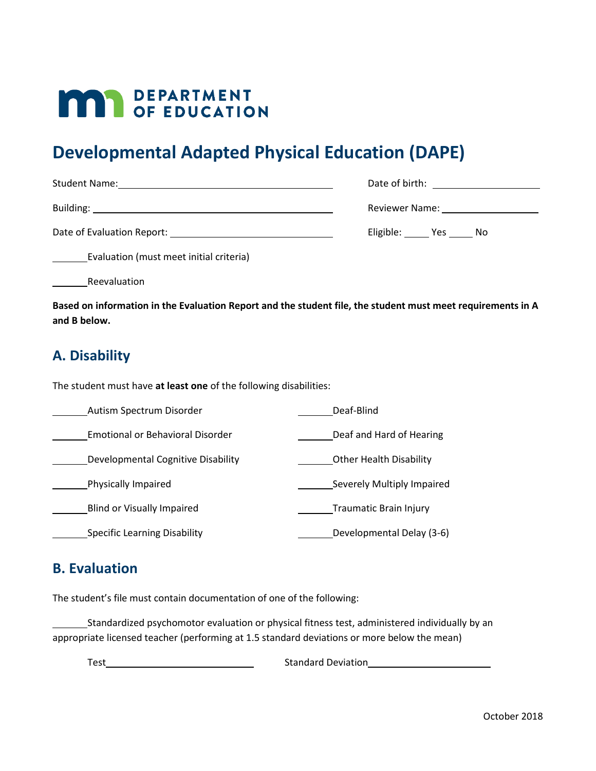# **MAY DEPARTMENT**

## **Developmental Adapted Physical Education (DAPE)**

| <b>Student Name:</b>       | Date of birth: and the state of birth: |
|----------------------------|----------------------------------------|
| Building:                  | Reviewer Name: Names                   |
| Date of Evaluation Report: | Eligible: Yes No                       |

Evaluation (must meet initial criteria)

Reevaluation

**Based on information in the Evaluation Report and the student file, the student must meet requirements in A and B below.**

### **A. Disability**

The student must have **at least one** of the following disabilities:

| Autism Spectrum Disorder            | Deaf-Blind                     |
|-------------------------------------|--------------------------------|
| Emotional or Behavioral Disorder    | Deaf and Hard of Hearing       |
| Developmental Cognitive Disability  | <b>Other Health Disability</b> |
| Physically Impaired                 | Severely Multiply Impaired     |
| Blind or Visually Impaired          | Traumatic Brain Injury         |
| <b>Specific Learning Disability</b> | Developmental Delay (3-6)      |

#### **B. Evaluation**

The student's file must contain documentation of one of the following:

Standardized psychomotor evaluation or physical fitness test, administered individually by an appropriate licensed teacher (performing at 1.5 standard deviations or more below the mean)

Test Contract Contract Contract Contract Contract Contract Contract Contract Contract Contract Contract Contract Contract Contract Contract Contract Contract Contract Contract Contract Contract Contract Contract Contract C